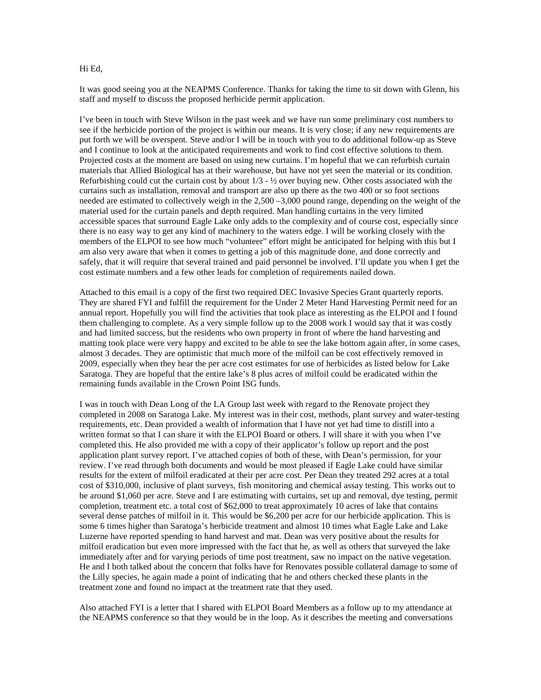## Hi Ed,

It was good seeing you at the NEAPMS Conference. Thanks for taking the time to sit down with Glenn, his staff and myself to discuss the proposed herbicide permit application.

I've been in touch with Steve Wilson in the past week and we have run some preliminary cost numbers to see if the herbicide portion of the project is within our means. It is very close; if any new requirements are put forth we will be overspent. Steve and/or I will be in touch with you to do additional follow-up as Steve and I continue to look at the anticipated requirements and work to find cost effective solutions to them. Projected costs at the moment are based on using new curtains. I'm hopeful that we can refurbish curtain materials that Allied Biological has at their warehouse, but have not yet seen the material or its condition. Refurbishing could cut the curtain cost by about  $1/3 - 1/2$  over buying new. Other costs associated with the curtains such as installation, removal and transport are also up there as the two 400 or so foot sections needed are estimated to collectively weigh in the 2,500 –3,000 pound range, depending on the weight of the material used for the curtain panels and depth required. Man handling curtains in the very limited accessible spaces that surround Eagle Lake only adds to the complexity and of course cost, especially since there is no easy way to get any kind of machinery to the waters edge. I will be working closely with the members of the ELPOI to see how much "volunteer" effort might be anticipated for helping with this but I am also very aware that when it comes to getting a job of this magnitude done, and done correctly and safely, that it will require that several trained and paid personnel be involved. I'll update you when I get the cost estimate numbers and a few other leads for completion of requirements nailed down.

Attached to this email is a copy of the first two required DEC Invasive Species Grant quarterly reports. They are shared FYI and fulfill the requirement for the Under 2 Meter Hand Harvesting Permit need for an annual report. Hopefully you will find the activities that took place as interesting as the ELPOI and I found them challenging to complete. As a very simple follow up to the 2008 work I would say that it was costly and had limited success, but the residents who own property in front of where the hand harvesting and matting took place were very happy and excited to be able to see the lake bottom again after, in some cases, almost 3 decades. They are optimistic that much more of the milfoil can be cost effectively removed in 2009, especially when they hear the per acre cost estimates for use of herbicides as listed below for Lake Saratoga. They are hopeful that the entire lake's 8 plus acres of milfoil could be eradicated within the remaining funds available in the Crown Point ISG funds.

I was in touch with Dean Long of the LA Group last week with regard to the Renovate project they completed in 2008 on Saratoga Lake. My interest was in their cost, methods, plant survey and water-testing requirements, etc. Dean provided a wealth of information that I have not yet had time to distill into a written format so that I can share it with the ELPOI Board or others. I will share it with you when I've completed this. He also provided me with a copy of their applicator's follow up report and the post application plant survey report. I've attached copies of both of these, with Dean's permission, for your review. I've read through both documents and would be most pleased if Eagle Lake could have similar results for the extent of milfoil eradicated at their per acre cost. Per Dean they treated 292 acres at a total cost of \$310,000, inclusive of plant surveys, fish monitoring and chemical assay testing. This works out to be around \$1,060 per acre. Steve and I are estimating with curtains, set up and removal, dye testing, permit completion, treatment etc. a total cost of \$62,000 to treat approximately 10 acres of lake that contains several dense patches of milfoil in it. This would be \$6,200 per acre for our herbicide application. This is some 6 times higher than Saratoga's herbicide treatment and almost 10 times what Eagle Lake and Lake Luzerne have reported spending to hand harvest and mat. Dean was very positive about the results for milfoil eradication but even more impressed with the fact that he, as well as others that surveyed the lake immediately after and for varying periods of time post treatment, saw no impact on the native vegetation. He and I both talked about the concern that folks have for Renovates possible collateral damage to some of the Lilly species, he again made a point of indicating that he and others checked these plants in the treatment zone and found no impact at the treatment rate that they used.

Also attached FYI is a letter that I shared with ELPOI Board Members as a follow up to my attendance at the NEAPMS conference so that they would be in the loop. As it describes the meeting and conversations